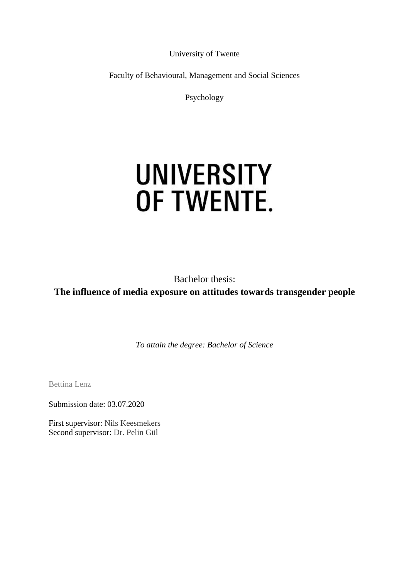University of Twente

Faculty of Behavioural, Management and Social Sciences

Psychology

# **UNIVERSITY** OF TWENTE.

Bachelor thesis: **The influence of media exposure on attitudes towards transgender people**

*To attain the degree: Bachelor of Science*

Bettina Lenz

Submission date: 03.07.2020

First supervisor: Nils Keesmekers Second supervisor: Dr. Pelin Gül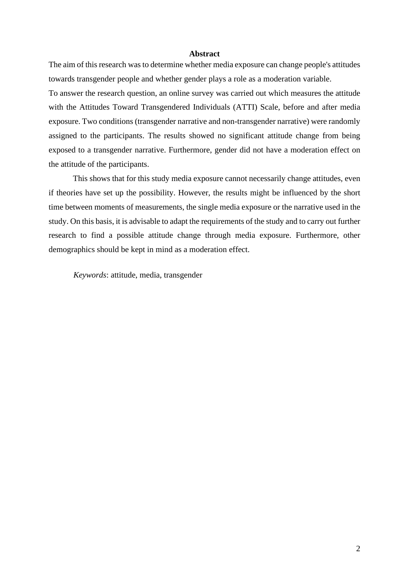### **Abstract**

The aim of this research was to determine whether media exposure can change people's attitudes towards transgender people and whether gender plays a role as a moderation variable.

To answer the research question, an online survey was carried out which measures the attitude with the Attitudes Toward Transgendered Individuals (ATTI) Scale, before and after media exposure. Two conditions (transgender narrative and non-transgender narrative) were randomly assigned to the participants. The results showed no significant attitude change from being exposed to a transgender narrative. Furthermore, gender did not have a moderation effect on the attitude of the participants.

This shows that for this study media exposure cannot necessarily change attitudes, even if theories have set up the possibility. However, the results might be influenced by the short time between moments of measurements, the single media exposure or the narrative used in the study. On this basis, it is advisable to adapt the requirements of the study and to carry out further research to find a possible attitude change through media exposure. Furthermore, other demographics should be kept in mind as a moderation effect.

*Keywords*: attitude, media, transgender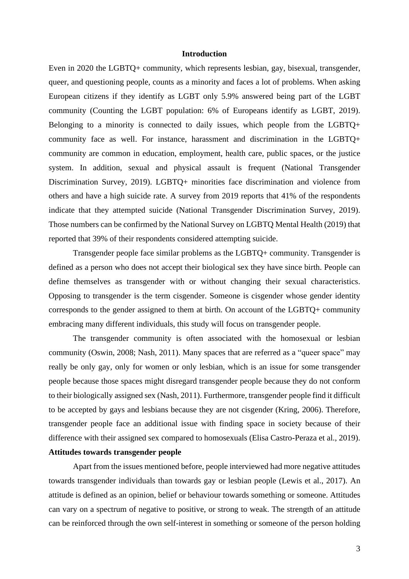#### **Introduction**

Even in 2020 the LGBTQ+ community, which represents lesbian, gay, bisexual, transgender, queer, and questioning people, counts as a minority and faces a lot of problems. When asking European citizens if they identify as LGBT only 5.9% answered being part of the LGBT community (Counting the LGBT population: 6% of Europeans identify as LGBT, 2019). Belonging to a minority is connected to daily issues, which people from the LGBTQ+ community face as well. For instance, harassment and discrimination in the LGBTQ+ community are common in education, employment, health care, public spaces, or the justice system. In addition, sexual and physical assault is frequent (National Transgender Discrimination Survey, 2019). LGBTQ+ minorities face discrimination and violence from others and have a high suicide rate. A survey from 2019 reports that 41% of the respondents indicate that they attempted suicide (National Transgender Discrimination Survey, 2019). Those numbers can be confirmed by the National Survey on LGBTQ Mental Health (2019) that reported that 39% of their respondents considered attempting suicide.

Transgender people face similar problems as the LGBTQ+ community. Transgender is defined as a person who does not accept their biological sex they have since birth. People can define themselves as transgender with or without changing their sexual characteristics. Opposing to transgender is the term cisgender. Someone is cisgender whose gender identity corresponds to the gender assigned to them at birth. On account of the LGBTQ+ community embracing many different individuals, this study will focus on transgender people.

The transgender community is often associated with the homosexual or lesbian community (Oswin, 2008; Nash, 2011). Many spaces that are referred as a "queer space" may really be only gay, only for women or only lesbian, which is an issue for some transgender people because those spaces might disregard transgender people because they do not conform to their biologically assigned sex (Nash, 2011). Furthermore, transgender people find it difficult to be accepted by gays and lesbians because they are not cisgender (Kring, 2006). Therefore, transgender people face an additional issue with finding space in society because of their difference with their assigned sex compared to homosexuals (Elisa Castro-Peraza et al., 2019). **Attitudes towards transgender people**

Apart from the issues mentioned before, people interviewed had more negative attitudes towards transgender individuals than towards gay or lesbian people (Lewis et al., 2017). An attitude is defined as an opinion, belief or behaviour towards something or someone. Attitudes can vary on a spectrum of negative to positive, or strong to weak. The strength of an attitude can be reinforced through the own self-interest in something or someone of the person holding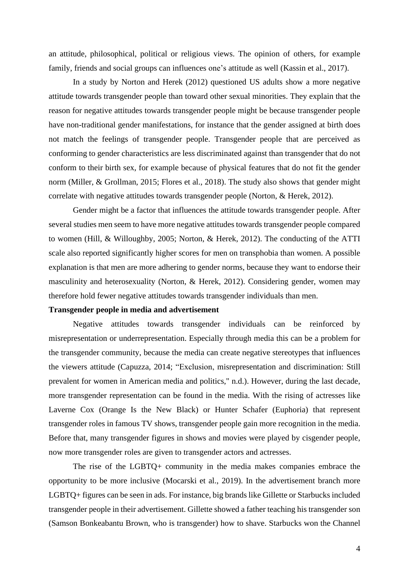an attitude, philosophical, political or religious views. The opinion of others, for example family, friends and social groups can influences one's attitude as well (Kassin et al., 2017).

In a study by Norton and Herek (2012) questioned US adults show a more negative attitude towards transgender people than toward other sexual minorities. They explain that the reason for negative attitudes towards transgender people might be because transgender people have non-traditional gender manifestations, for instance that the gender assigned at birth does not match the feelings of transgender people. Transgender people that are perceived as conforming to gender characteristics are less discriminated against than transgender that do not conform to their birth sex, for example because of physical features that do not fit the gender norm (Miller, & Grollman, 2015; Flores et al., 2018). The study also shows that gender might correlate with negative attitudes towards transgender people (Norton, & Herek, 2012).

Gender might be a factor that influences the attitude towards transgender people. After several studies men seem to have more negative attitudes towards transgender people compared to women (Hill, & Willoughby, 2005; Norton, & Herek, 2012). The conducting of the ATTI scale also reported significantly higher scores for men on transphobia than women. A possible explanation is that men are more adhering to gender norms, because they want to endorse their masculinity and heterosexuality (Norton, & Herek, 2012). Considering gender, women may therefore hold fewer negative attitudes towards transgender individuals than men.

#### **Transgender people in media and advertisement**

Negative attitudes towards transgender individuals can be reinforced by misrepresentation or underrepresentation. Especially through media this can be a problem for the transgender community, because the media can create negative stereotypes that influences the viewers attitude (Capuzza, 2014; "Exclusion, misrepresentation and discrimination: Still prevalent for women in American media and politics," n.d.). However, during the last decade, more transgender representation can be found in the media. With the rising of actresses like Laverne Cox (Orange Is the New Black) or Hunter Schafer (Euphoria) that represent transgender roles in famous TV shows, transgender people gain more recognition in the media. Before that, many transgender figures in shows and movies were played by cisgender people, now more transgender roles are given to transgender actors and actresses.

The rise of the LGBTQ+ community in the media makes companies embrace the opportunity to be more inclusive (Mocarski et al., 2019). In the advertisement branch more LGBTQ+ figures can be seen in ads. For instance, big brands like Gillette or Starbucks included transgender people in their advertisement. Gillette showed a father teaching his transgender son (Samson Bonkeabantu Brown, who is transgender) how to shave. Starbucks won the Channel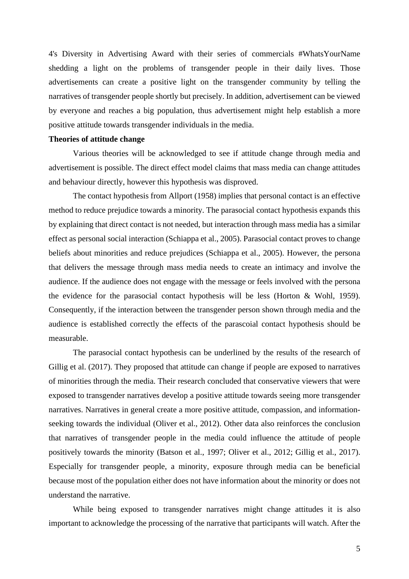4's Diversity in Advertising Award with their series of commercials #WhatsYourName shedding a light on the problems of transgender people in their daily lives. Those advertisements can create a positive light on the transgender community by telling the narratives of transgender people shortly but precisely. In addition, advertisement can be viewed by everyone and reaches a big population, thus advertisement might help establish a more positive attitude towards transgender individuals in the media.

#### **Theories of attitude change**

Various theories will be acknowledged to see if attitude change through media and advertisement is possible. The direct effect model claims that mass media can change attitudes and behaviour directly, however this hypothesis was disproved.

The contact hypothesis from Allport (1958) implies that personal contact is an effective method to reduce prejudice towards a minority. The parasocial contact hypothesis expands this by explaining that direct contact is not needed, but interaction through mass media has a similar effect as personal social interaction (Schiappa et al., 2005). Parasocial contact proves to change beliefs about minorities and reduce prejudices (Schiappa et al., 2005). However, the persona that delivers the message through mass media needs to create an intimacy and involve the audience. If the audience does not engage with the message or feels involved with the persona the evidence for the parasocial contact hypothesis will be less (Horton & Wohl, 1959). Consequently, if the interaction between the transgender person shown through media and the audience is established correctly the effects of the parascoial contact hypothesis should be measurable.

The parasocial contact hypothesis can be underlined by the results of the research of Gillig et al. (2017). They proposed that attitude can change if people are exposed to narratives of minorities through the media. Their research concluded that conservative viewers that were exposed to transgender narratives develop a positive attitude towards seeing more transgender narratives. Narratives in general create a more positive attitude, compassion, and informationseeking towards the individual (Oliver et al., 2012). Other data also reinforces the conclusion that narratives of transgender people in the media could influence the attitude of people positively towards the minority (Batson et al., 1997; Oliver et al., 2012; Gillig et al., 2017). Especially for transgender people, a minority, exposure through media can be beneficial because most of the population either does not have information about the minority or does not understand the narrative.

While being exposed to transgender narratives might change attitudes it is also important to acknowledge the processing of the narrative that participants will watch. After the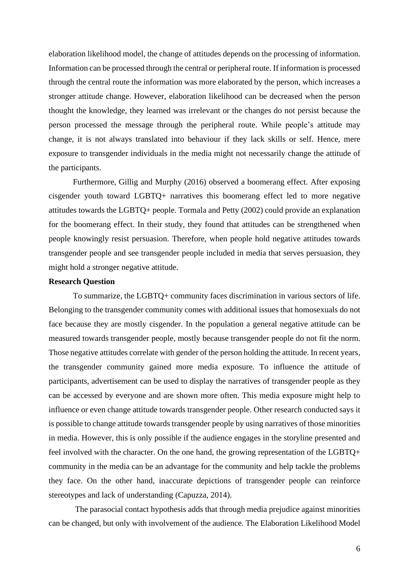elaboration likelihood model, the change of attitudes depends on the processing of information. Information can be processed through the central or peripheral route. If information is processed through the central route the information was more elaborated by the person, which increases a stronger attitude change. However, elaboration likelihood can be decreased when the person thought the knowledge, they learned was irrelevant or the changes do not persist because the person processed the message through the peripheral route. While people's attitude may change, it is not always translated into behaviour if they lack skills or self. Hence, mere exposure to transgender individuals in the media might not necessarily change the attitude of the participants.

Furthermore, Gillig and Murphy (2016) observed a boomerang effect. After exposing cisgender youth toward LGBTQ+ narratives this boomerang effect led to more negative attitudes towards the LGBTQ+ people. Tormala and Petty (2002) could provide an explanation for the boomerang effect. In their study, they found that attitudes can be strengthened when people knowingly resist persuasion. Therefore, when people hold negative attitudes towards transgender people and see transgender people included in media that serves persuasion, they might hold a stronger negative attitude.

#### **Research Question**

To summarize, the LGBTQ+ community faces discrimination in various sectors of life. Belonging to the transgender community comes with additional issues that homosexuals do not face because they are mostly cisgender. In the population a general negative attitude can be measured towards transgender people, mostly because transgender people do not fit the norm. Those negative attitudes correlate with gender of the person holding the attitude. In recent years, the transgender community gained more media exposure. To influence the attitude of participants, advertisement can be used to display the narratives of transgender people as they can be accessed by everyone and are shown more often. This media exposure might help to influence or even change attitude towards transgender people. Other research conducted says it is possible to change attitude towards transgender people by using narratives of those minorities in media. However, this is only possible if the audience engages in the storyline presented and feel involved with the character. On the one hand, the growing representation of the LGBTQ+ community in the media can be an advantage for the community and help tackle the problems they face. On the other hand, inaccurate depictions of transgender people can reinforce stereotypes and lack of understanding (Capuzza, 2014).

The parasocial contact hypothesis adds that through media prejudice against minorities can be changed, but only with involvement of the audience. The Elaboration Likelihood Model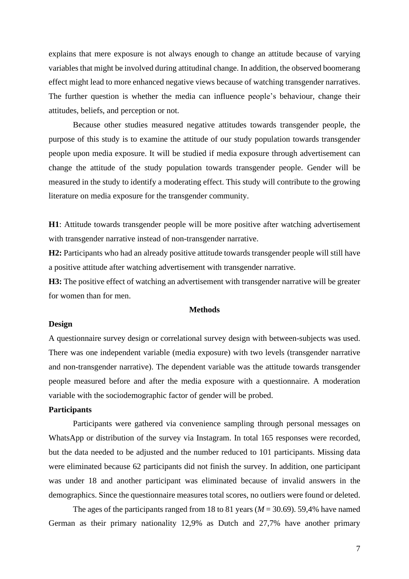explains that mere exposure is not always enough to change an attitude because of varying variables that might be involved during attitudinal change. In addition, the observed boomerang effect might lead to more enhanced negative views because of watching transgender narratives. The further question is whether the media can influence people's behaviour, change their attitudes, beliefs, and perception or not.

Because other studies measured negative attitudes towards transgender people, the purpose of this study is to examine the attitude of our study population towards transgender people upon media exposure. It will be studied if media exposure through advertisement can change the attitude of the study population towards transgender people. Gender will be measured in the study to identify a moderating effect. This study will contribute to the growing literature on media exposure for the transgender community.

**H1**: Attitude towards transgender people will be more positive after watching advertisement with transgender narrative instead of non-transgender narrative.

**H2:** Participants who had an already positive attitude towards transgender people will still have a positive attitude after watching advertisement with transgender narrative.

**H3:** The positive effect of watching an advertisement with transgender narrative will be greater for women than for men.

#### **Methods**

#### **Design**

A questionnaire survey design or correlational survey design with between-subjects was used. There was one independent variable (media exposure) with two levels (transgender narrative and non-transgender narrative). The dependent variable was the attitude towards transgender people measured before and after the media exposure with a questionnaire. A moderation variable with the sociodemographic factor of gender will be probed.

## **Participants**

Participants were gathered via convenience sampling through personal messages on WhatsApp or distribution of the survey via Instagram. In total 165 responses were recorded, but the data needed to be adjusted and the number reduced to 101 participants. Missing data were eliminated because 62 participants did not finish the survey. In addition, one participant was under 18 and another participant was eliminated because of invalid answers in the demographics. Since the questionnaire measures total scores, no outliers were found or deleted.

The ages of the participants ranged from 18 to 81 years (*M* = 30.69). 59,4% have named German as their primary nationality 12,9% as Dutch and 27,7% have another primary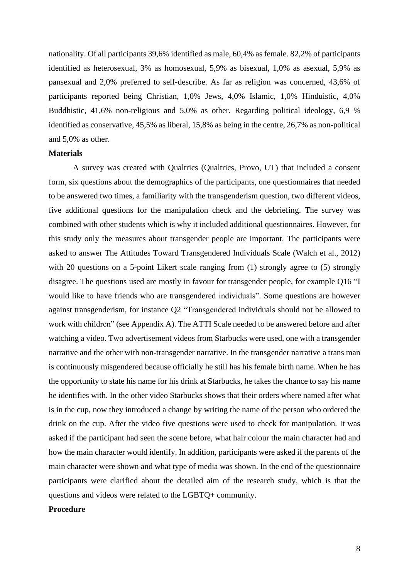nationality. Of all participants 39,6% identified as male, 60,4% as female. 82,2% of participants identified as heterosexual, 3% as homosexual, 5,9% as bisexual, 1,0% as asexual, 5,9% as pansexual and 2,0% preferred to self-describe. As far as religion was concerned, 43,6% of participants reported being Christian, 1,0% Jews, 4,0% Islamic, 1,0% Hinduistic, 4,0% Buddhistic, 41,6% non-religious and 5,0% as other. Regarding political ideology, 6,9 % identified as conservative, 45,5% as liberal, 15,8% as being in the centre, 26,7% as non-political and 5,0% as other.

#### **Materials**

A survey was created with Qualtrics (Qualtrics, Provo, UT) that included a consent form, six questions about the demographics of the participants, one questionnaires that needed to be answered two times, a familiarity with the transgenderism question, two different videos, five additional questions for the manipulation check and the debriefing. The survey was combined with other students which is why it included additional questionnaires. However, for this study only the measures about transgender people are important. The participants were asked to answer The Attitudes Toward Transgendered Individuals Scale (Walch et al., 2012) with 20 questions on a 5-point Likert scale ranging from (1) strongly agree to (5) strongly disagree. The questions used are mostly in favour for transgender people, for example Q16 "I would like to have friends who are transgendered individuals". Some questions are however against transgenderism, for instance Q2 "Transgendered individuals should not be allowed to work with children" (see Appendix A). The ATTI Scale needed to be answered before and after watching a video. Two advertisement videos from Starbucks were used, one with a transgender narrative and the other with non-transgender narrative. In the transgender narrative a trans man is continuously misgendered because officially he still has his female birth name. When he has the opportunity to state his name for his drink at Starbucks, he takes the chance to say his name he identifies with. In the other video Starbucks shows that their orders where named after what is in the cup, now they introduced a change by writing the name of the person who ordered the drink on the cup. After the video five questions were used to check for manipulation. It was asked if the participant had seen the scene before, what hair colour the main character had and how the main character would identify. In addition, participants were asked if the parents of the main character were shown and what type of media was shown. In the end of the questionnaire participants were clarified about the detailed aim of the research study, which is that the questions and videos were related to the LGBTQ+ community.

## **Procedure**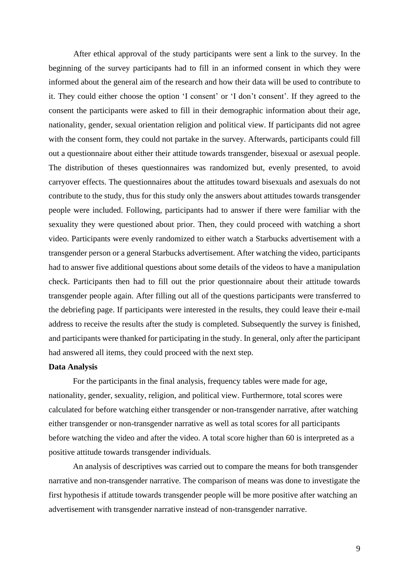After ethical approval of the study participants were sent a link to the survey. In the beginning of the survey participants had to fill in an informed consent in which they were informed about the general aim of the research and how their data will be used to contribute to it. They could either choose the option 'I consent' or 'I don't consent'. If they agreed to the consent the participants were asked to fill in their demographic information about their age, nationality, gender, sexual orientation religion and political view. If participants did not agree with the consent form, they could not partake in the survey. Afterwards, participants could fill out a questionnaire about either their attitude towards transgender, bisexual or asexual people. The distribution of theses questionnaires was randomized but, evenly presented, to avoid carryover effects. The questionnaires about the attitudes toward bisexuals and asexuals do not contribute to the study, thus for this study only the answers about attitudes towards transgender people were included. Following, participants had to answer if there were familiar with the sexuality they were questioned about prior. Then, they could proceed with watching a short video. Participants were evenly randomized to either watch a Starbucks advertisement with a transgender person or a general Starbucks advertisement. After watching the video, participants had to answer five additional questions about some details of the videos to have a manipulation check. Participants then had to fill out the prior questionnaire about their attitude towards transgender people again. After filling out all of the questions participants were transferred to the debriefing page. If participants were interested in the results, they could leave their e-mail address to receive the results after the study is completed. Subsequently the survey is finished, and participants were thanked for participating in the study. In general, only after the participant had answered all items, they could proceed with the next step.

#### **Data Analysis**

For the participants in the final analysis, frequency tables were made for age, nationality, gender, sexuality, religion, and political view. Furthermore, total scores were calculated for before watching either transgender or non-transgender narrative, after watching either transgender or non-transgender narrative as well as total scores for all participants before watching the video and after the video. A total score higher than 60 is interpreted as a positive attitude towards transgender individuals.

An analysis of descriptives was carried out to compare the means for both transgender narrative and non-transgender narrative. The comparison of means was done to investigate the first hypothesis if attitude towards transgender people will be more positive after watching an advertisement with transgender narrative instead of non-transgender narrative.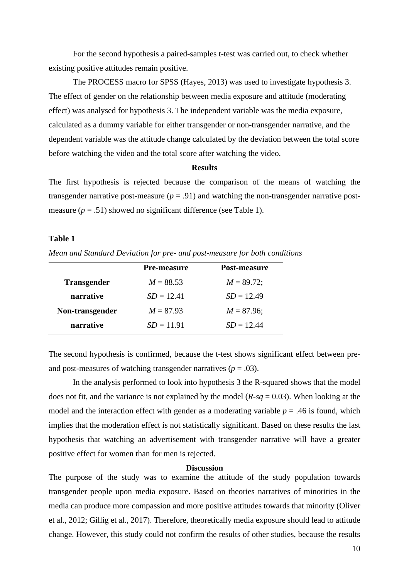For the second hypothesis a paired-samples t-test was carried out, to check whether existing positive attitudes remain positive.

The PROCESS macro for SPSS (Hayes, 2013) was used to investigate hypothesis 3. The effect of gender on the relationship between media exposure and attitude (moderating effect) was analysed for hypothesis 3. The independent variable was the media exposure, calculated as a dummy variable for either transgender or non-transgender narrative, and the dependent variable was the attitude change calculated by the deviation between the total score before watching the video and the total score after watching the video.

#### **Results**

The first hypothesis is rejected because the comparison of the means of watching the transgender narrative post-measure  $(p = .91)$  and watching the non-transgender narrative postmeasure  $(p = .51)$  showed no significant difference (see Table 1).

### **Table 1**

*Mean and Standard Deviation for pre- and post-measure for both conditions*

|                    | <b>Pre-measure</b> | Post-measure  |
|--------------------|--------------------|---------------|
| <b>Transgender</b> | $M = 88.53$        | $M = 89.72$ ; |
| narrative          | $SD = 12.41$       | $SD = 12.49$  |
| Non-transgender    | $M = 87.93$        | $M = 87.96$ ; |
| narrative          | $SD = 11.91$       | $SD = 12.44$  |

The second hypothesis is confirmed, because the t-test shows significant effect between preand post-measures of watching transgender narratives  $(p = .03)$ .

In the analysis performed to look into hypothesis 3 the R-squared shows that the model does not fit, and the variance is not explained by the model (*R-sq* = 0.03). When looking at the model and the interaction effect with gender as a moderating variable  $p = .46$  is found, which implies that the moderation effect is not statistically significant. Based on these results the last hypothesis that watching an advertisement with transgender narrative will have a greater positive effect for women than for men is rejected.

#### **Discussion**

The purpose of the study was to examine the attitude of the study population towards transgender people upon media exposure. Based on theories narratives of minorities in the media can produce more compassion and more positive attitudes towards that minority (Oliver et al., 2012; Gillig et al., 2017). Therefore, theoretically media exposure should lead to attitude change. However, this study could not confirm the results of other studies, because the results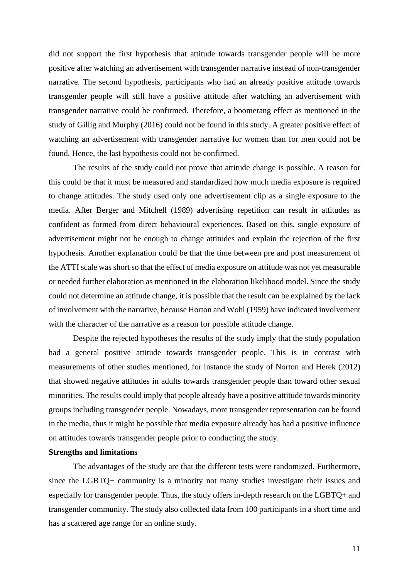did not support the first hypothesis that attitude towards transgender people will be more positive after watching an advertisement with transgender narrative instead of non-transgender narrative. The second hypothesis, participants who had an already positive attitude towards transgender people will still have a positive attitude after watching an advertisement with transgender narrative could be confirmed. Therefore, a boomerang effect as mentioned in the study of Gillig and Murphy (2016) could not be found in this study. A greater positive effect of watching an advertisement with transgender narrative for women than for men could not be found. Hence, the last hypothesis could not be confirmed.

The results of the study could not prove that attitude change is possible. A reason for this could be that it must be measured and standardized how much media exposure is required to change attitudes. The study used only one advertisement clip as a single exposure to the media. After Berger and Mitchell (1989) advertising repetition can result in attitudes as confident as formed from direct behavioural experiences. Based on this, single exposure of advertisement might not be enough to change attitudes and explain the rejection of the first hypothesis. Another explanation could be that the time between pre and post measurement of the ATTI scale was short so that the effect of media exposure on attitude was not yet measurable or needed further elaboration as mentioned in the elaboration likelihood model. Since the study could not determine an attitude change, it is possible that the result can be explained by the lack of involvement with the narrative, because Horton and Wohl (1959) have indicated involvement with the character of the narrative as a reason for possible attitude change.

Despite the rejected hypotheses the results of the study imply that the study population had a general positive attitude towards transgender people. This is in contrast with measurements of other studies mentioned, for instance the study of Norton and Herek (2012) that showed negative attitudes in adults towards transgender people than toward other sexual minorities. The results could imply that people already have a positive attitude towards minority groups including transgender people. Nowadays, more transgender representation can be found in the media, thus it might be possible that media exposure already has had a positive influence on attitudes towards transgender people prior to conducting the study.

#### **Strengths and limitations**

The advantages of the study are that the different tests were randomized. Furthermore, since the LGBTQ+ community is a minority not many studies investigate their issues and especially for transgender people. Thus, the study offers in-depth research on the LGBTQ+ and transgender community. The study also collected data from 100 participants in a short time and has a scattered age range for an online study.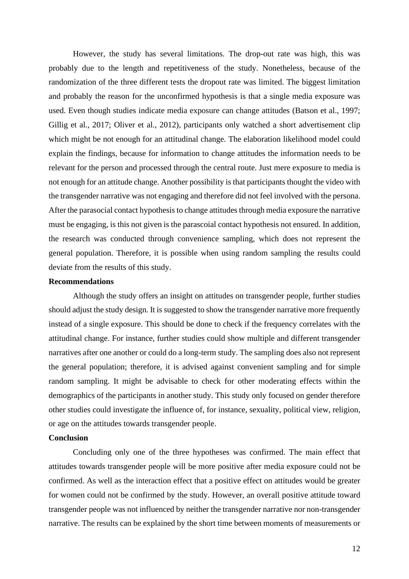However, the study has several limitations. The drop-out rate was high, this was probably due to the length and repetitiveness of the study. Nonetheless, because of the randomization of the three different tests the dropout rate was limited. The biggest limitation and probably the reason for the unconfirmed hypothesis is that a single media exposure was used. Even though studies indicate media exposure can change attitudes (Batson et al., 1997; Gillig et al., 2017; Oliver et al., 2012), participants only watched a short advertisement clip which might be not enough for an attitudinal change. The elaboration likelihood model could explain the findings, because for information to change attitudes the information needs to be relevant for the person and processed through the central route. Just mere exposure to media is not enough for an attitude change. Another possibility is that participants thought the video with the transgender narrative was not engaging and therefore did not feel involved with the persona. After the parasocial contact hypothesis to change attitudes through media exposure the narrative must be engaging, is this not given is the parascoial contact hypothesis not ensured. In addition, the research was conducted through convenience sampling, which does not represent the general population. Therefore, it is possible when using random sampling the results could deviate from the results of this study.

#### **Recommendations**

Although the study offers an insight on attitudes on transgender people, further studies should adjust the study design. It is suggested to show the transgender narrative more frequently instead of a single exposure. This should be done to check if the frequency correlates with the attitudinal change. For instance, further studies could show multiple and different transgender narratives after one another or could do a long-term study. The sampling does also not represent the general population; therefore, it is advised against convenient sampling and for simple random sampling. It might be advisable to check for other moderating effects within the demographics of the participants in another study. This study only focused on gender therefore other studies could investigate the influence of, for instance, sexuality, political view, religion, or age on the attitudes towards transgender people.

#### **Conclusion**

Concluding only one of the three hypotheses was confirmed. The main effect that attitudes towards transgender people will be more positive after media exposure could not be confirmed. As well as the interaction effect that a positive effect on attitudes would be greater for women could not be confirmed by the study. However, an overall positive attitude toward transgender people was not influenced by neither the transgender narrative nor non-transgender narrative. The results can be explained by the short time between moments of measurements or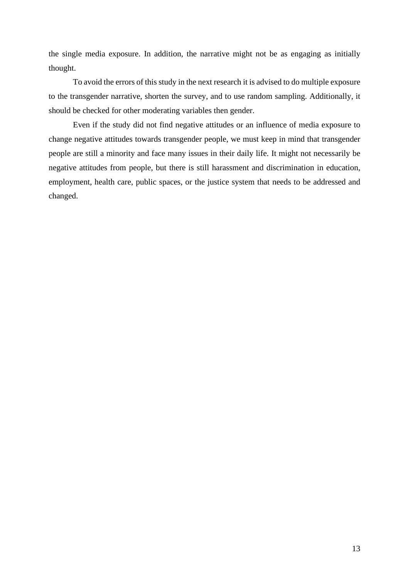the single media exposure. In addition, the narrative might not be as engaging as initially thought.

To avoid the errors of this study in the next research it is advised to do multiple exposure to the transgender narrative, shorten the survey, and to use random sampling. Additionally, it should be checked for other moderating variables then gender.

Even if the study did not find negative attitudes or an influence of media exposure to change negative attitudes towards transgender people, we must keep in mind that transgender people are still a minority and face many issues in their daily life. It might not necessarily be negative attitudes from people, but there is still harassment and discrimination in education, employment, health care, public spaces, or the justice system that needs to be addressed and changed.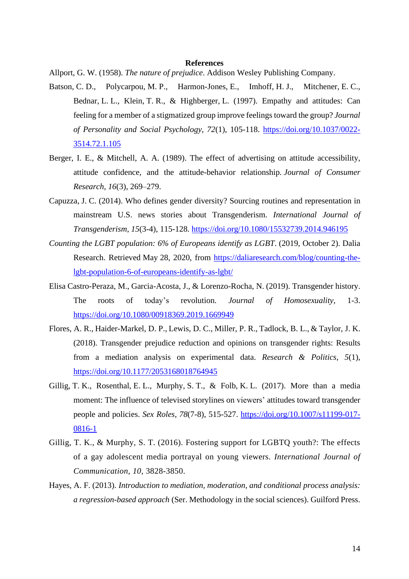#### **References**

Allport, G. W. (1958). *The nature of prejudice*. Addison Wesley Publishing Company.

- Batson, C. D., Polycarpou, M. P., Harmon-Jones, E., Imhoff, H. J., Mitchener, E. C., Bednar, L. L., Klein, T. R., & Highberger, L. (1997). Empathy and attitudes: Can feeling for a member of a stigmatized group improve feelings toward the group? *Journal of Personality and Social Psychology*, *72*(1), 105-118. [https://doi.org/10.1037/0022-](https://doi.org/10.1037/0022-3514.72.1.105) [3514.72.1.105](https://doi.org/10.1037/0022-3514.72.1.105)
- Berger, I. E., & Mitchell, A. A. (1989). The effect of advertising on attitude accessibility, attitude confidence, and the attitude-behavior relationship. *Journal of Consumer Research*, *16*(3), 269–279.
- Capuzza, J. C. (2014). Who defines gender diversity? Sourcing routines and representation in mainstream U.S. news stories about Transgenderism. *International Journal of Transgenderism*, *15*(3-4), 115-128. <https://doi.org/10.1080/15532739.2014.946195>
- *Counting the LGBT population: 6% of Europeans identify as LGBT*. (2019, October 2). Dalia Research. Retrieved May 28, 2020, from [https://daliaresearch.com/blog/counting-the](https://daliaresearch.com/blog/counting-the-lgbt-population-6-of-europeans-identify-as-lgbt/)[lgbt-population-6-of-europeans-identify-as-lgbt/](https://daliaresearch.com/blog/counting-the-lgbt-population-6-of-europeans-identify-as-lgbt/)
- Elisa Castro-Peraza, M., Garcia-Acosta, J., & Lorenzo-Rocha, N. (2019). Transgender history. The roots of today's revolution. *Journal of Homosexuality*, 1-3. <https://doi.org/10.1080/00918369.2019.1669949>
- Flores, A. R., Haider-Markel, D. P., Lewis, D. C., Miller, P. R., Tadlock, B. L., & Taylor, J. K. (2018). Transgender prejudice reduction and opinions on transgender rights: Results from a mediation analysis on experimental data. *Research & Politics*, *5*(1), <https://doi.org/10.1177/2053168018764945>
- Gillig, T. K., Rosenthal, E. L., Murphy, S. T., & Folb, K. L. (2017). More than a media moment: The influence of televised storylines on viewers' attitudes toward transgender people and policies. *Sex Roles*, *78*(7-8), 515-527. [https://doi.org/10.1007/s11199-017-](https://doi.org/10.1007/s11199-017-0816-1) [0816-1](https://doi.org/10.1007/s11199-017-0816-1)
- Gillig, T. K., & Murphy, S. T. (2016). Fostering support for LGBTQ youth?: The effects of a gay adolescent media portrayal on young viewers. *International Journal of Communication, 10*, 3828-3850.
- Hayes, A. F. (2013). *Introduction to mediation, moderation, and conditional process analysis: a regression-based approach* (Ser. Methodology in the social sciences). Guilford Press.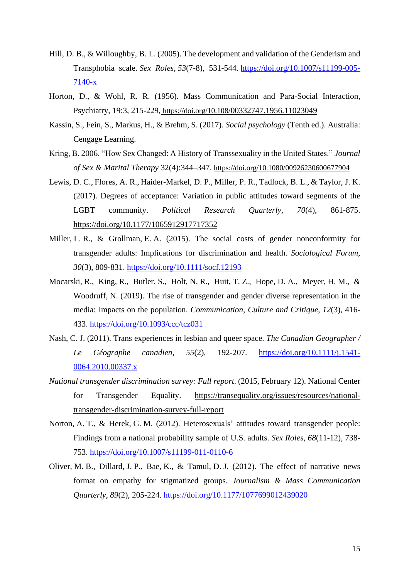- Hill, D. B., & Willoughby, B. L. (2005). The development and validation of the Genderism and Transphobia scale. *Sex Roles*, *53*(7-8), 531-544. [https://doi.org/10.1007/s11199-005-](https://doi.org/10.1007/s11199-005-7140-x) [7140-x](https://doi.org/10.1007/s11199-005-7140-x)
- Horton, D., & Wohl, R. R. (1956). Mass Communication and Para-Social Interaction, Psychiatry, 19:3, 215-229, https://doi.org/10.108[/00332747.1956.11023049](https://doi.org/10.108/00332747.1956.11023049)
- Kassin, S., Fein, S., Markus, H., & Brehm, S. (2017). *Social psychology* (Tenth ed.). Australia: Cengage Learning.
- Kring, B. 2006. "How Sex Changed: A History of Transsexuality in the United States." *Journal of Sex & Marital Therapy* 32(4):344–347. [https://doi.org/10.1080/00926230600677904](https://doi-org.ezproxy2.utwente.nl/10.1080/00926230600677904)
- Lewis, D. C., Flores, A. R., Haider-Markel, D. P., Miller, P. R., Tadlock, B. L., & Taylor, J. K. (2017). Degrees of acceptance: Variation in public attitudes toward segments of the LGBT community. *Political Research Quarterly*, *70*(4), 861-875. <https://doi.org/10.1177/1065912917717352>
- Miller, L. R., & Grollman, E. A. (2015). The social costs of gender nonconformity for transgender adults: Implications for discrimination and health. *Sociological Forum*, *30*(3), 809-831. <https://doi.org/10.1111/socf.12193>
- Mocarski, R., King, R., Butler, S., Holt, N. R., Huit, T. Z., Hope, D. A., Meyer, H. M., & Woodruff, N. (2019). The rise of transgender and gender diverse representation in the media: Impacts on the population. *Communication, Culture and Critique*, *12*(3), 416- 433. <https://doi.org/10.1093/ccc/tcz031>
- Nash, C. J. (2011). Trans experiences in lesbian and queer space. *The Canadian Geographer / Le Géographe canadien*, *55*(2), 192-207. [https://doi.org/10.1111/j.1541-](https://doi.org/10.1111/j.1541-0064.2010.00337.x) [0064.2010.00337.x](https://doi.org/10.1111/j.1541-0064.2010.00337.x)
- *National transgender discrimination survey: Full report*. (2015, February 12). National Center for Transgender Equality. [https://transequality.org/issues/resources/national](https://transequality.org/issues/resources/national-transgender-discrimination-survey-full-report)[transgender-discrimination-survey-full-report](https://transequality.org/issues/resources/national-transgender-discrimination-survey-full-report)
- Norton, A. T., & Herek, G. M. (2012). Heterosexuals' attitudes toward transgender people: Findings from a national probability sample of U.S. adults. *Sex Roles*, *68*(11-12), 738- 753. <https://doi.org/10.1007/s11199-011-0110-6>
- Oliver, M. B., Dillard, J. P., Bae, K., & Tamul, D. J. (2012). The effect of narrative news format on empathy for stigmatized groups. *Journalism & Mass Communication Quarterly*, *89*(2), 205-224. <https://doi.org/10.1177/1077699012439020>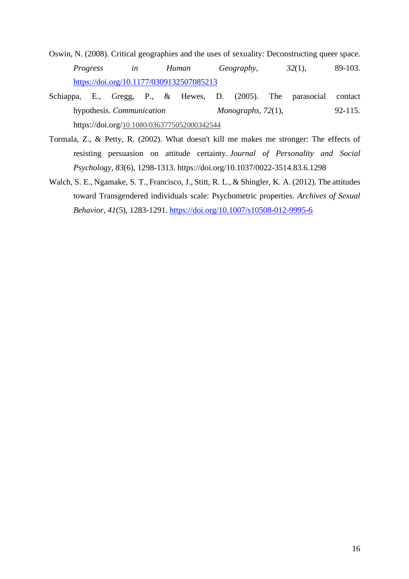- Oswin, N. (2008). Critical geographies and the uses of sexuality: Deconstructing queer space. *Progress in Human Geography*, *32*(1), 89-103. <https://doi.org/10.1177/0309132507085213>
- Schiappa, E., Gregg, P., & Hewes, D. (2005). The parasocial contact hypothesis. *Communication Monographs, 72*(1), 92-115. https://doi.org/[10.1080/0363775052000342544](https://doi-org.ezproxy2.utwente.nl/10.1080/0363775052000342544)
- Tormala, Z., & Petty, R. (2002). What doesn't kill me makes me stronger: The effects of resisting persuasion on attitude certainty. *Journal of Personality and Social Psychology, 83*(6), 1298-1313. https://doi.org/10.1037/0022-3514.83.6.1298
- Walch, S. E., Ngamake, S. T., Francisco, J., Stitt, R. L., & Shingler, K. A. (2012). The attitudes toward Transgendered individuals scale: Psychometric properties. *Archives of Sexual Behavior*, *41*(5), 1283-1291. <https://doi.org/10.1007/s10508-012-9995-6>